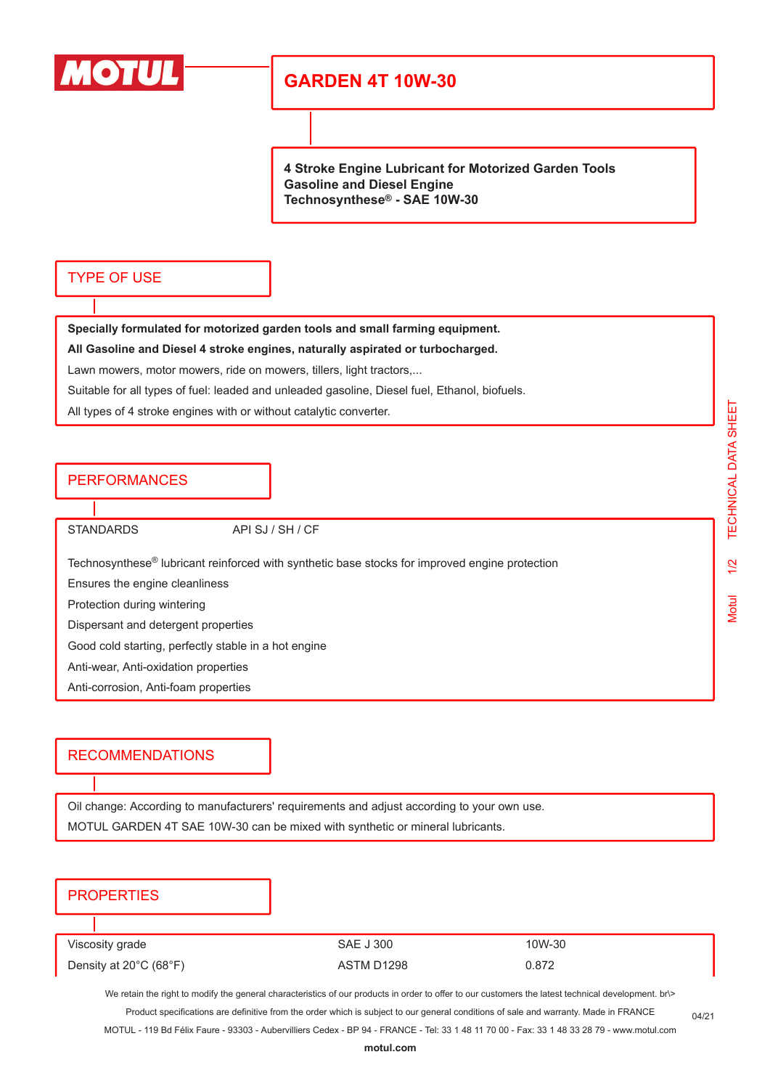

# **GARDEN 4T 10W-30**

**4 Stroke Engine Lubricant for Motorized Garden Tools Gasoline and Diesel Engine Technosynthese® - SAE 10W-30**

#### TYPE OF USE

**Specially formulated for motorized garden tools and small farming equipment. All Gasoline and Diesel 4 stroke engines, naturally aspirated or turbocharged.** Lawn mowers, motor mowers, ride on mowers, tillers, light tractors,...

Suitable for all types of fuel: leaded and unleaded gasoline, Diesel fuel, Ethanol, biofuels.

All types of 4 stroke engines with or without catalytic converter.

### PERFORMANCES

STANDARDS API SJ / SH / CF

Technosynthese® lubricant reinforced with synthetic base stocks for improved engine protection

Ensures the engine cleanliness

Protection during wintering

Dispersant and detergent properties

Good cold starting, perfectly stable in a hot engine

Anti-wear, Anti-oxidation properties

Anti-corrosion, Anti-foam properties

#### RECOMMENDATIONS

Oil change: According to manufacturers' requirements and adjust according to your own use. MOTUL GARDEN 4T SAE 10W-30 can be mixed with synthetic or mineral lubricants.

### **PROPERTIES**

Viscosity grade The SAE J 300 10W-30 Density at 20°C (68°F)  $\overline{AB}$  ASTM D1298 0.872

We retain the right to modify the general characteristics of our products in order to offer to our customers the latest technical development. br\> Product specifications are definitive from the order which is subject to our general conditions of sale and warranty. Made in FRANCE

MOTUL - 119 Bd Félix Faure - 93303 - Aubervilliers Cedex - BP 94 - FRANCE - Tel: 33 1 48 11 70 00 - Fax: 33 1 48 33 28 79 - www.motul.com

04/21